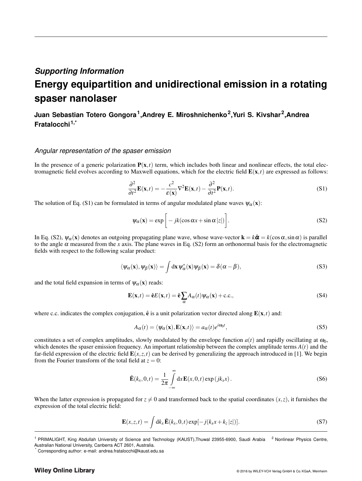### *Supporting Information*

# **Energy equipartition and unidirectional emission in a rotating spaser nanolaser**

## **Juan Sebastian Totero Gongora<sup>1</sup> ,Andrey E. Miroshnichenko<sup>2</sup> ,Yuri S. Kivshar<sup>2</sup> ,Andrea Fratalocchi1,\***

#### *Angular representation of the spaser emission*

In the presence of a generic polarization  $P(x,t)$  term, which includes both linear and nonlinear effects, the total electromagnetic field evolves according to Maxwell equations, which for the electric field  $E(x,t)$  are expressed as follows:

$$
\frac{\partial^2}{\partial t^2} \mathbf{E}(\mathbf{x}, t) = -\frac{c^2}{\varepsilon(\mathbf{x})} \nabla^2 \mathbf{E}(\mathbf{x}, t) - \frac{\partial^2}{\partial t^2} \mathbf{P}(\mathbf{x}, t).
$$
(S1)

The solution of Eq. (S1) can be formulated in terms of angular modulated plane waves  $\psi_{\alpha}(x)$ :

$$
\psi_{\alpha}(\mathbf{x}) = \exp\left[-jk(\cos\alpha x + \sin\alpha |z|)\right].
$$
\n(S2)

In Eq. (S2),  $\psi_{\alpha}(x)$  denotes an outgoing propagating plane wave, whose wave-vector  $\mathbf{k} = k\hat{\boldsymbol{\alpha}} = k(\cos\alpha, \sin\alpha)$  is parallel to the angle  $\alpha$  measured from the *x* axis. The plane waves in Eq. (S2) form an orthonormal basis for the electromagnetic fields with respect to the following scalar product:

$$
\langle \psi_{\alpha}(\mathbf{x}), \psi_{\beta}(\mathbf{x}) \rangle = \int d\mathbf{x} \, \psi_{\alpha}^*(\mathbf{x}) \psi_{\beta}(\mathbf{x}) = \delta(\alpha - \beta), \tag{S3}
$$

and the total field expansion in terms of  $\psi_{\alpha}(\mathbf{x})$  reads:

$$
\mathbf{E}(\mathbf{x},t) = \hat{\mathbf{e}}E(\mathbf{x},t) = \hat{\mathbf{e}}\sum_{\alpha} A_{\alpha}(t)\psi_{\alpha}(\mathbf{x}) + \text{c.c.},
$$
\n( S4)

where c.c. indicates the complex conjugation,  $\hat{\mathbf{e}}$  is a unit polarization vector directed along  $\mathbf{E}(\mathbf{x},t)$  and:

$$
A_{\alpha}(t) = \langle \psi_{\alpha}(\mathbf{x}), \mathbf{E}(\mathbf{x}, t) \rangle = a_{\alpha}(t) e^{i\omega_0 t}, \tag{S5}
$$

constitutes a set of complex amplitudes, slowly modulated by the envelope function  $a(t)$  and rapidly oscillating at  $\omega_0$ , which denotes the spaser emission frequency. An important relationship between the complex amplitude terms  $A(t)$  and the far-field expression of the electric field  $E(x, z, t)$  can be derived by generalizing the approach introduced in [1]. We begin from the Fourier transform of the total field at  $z = 0$ :

$$
\tilde{\mathbf{E}}(k_x, 0, t) = \frac{1}{2\pi} \int_{-\infty}^{\infty} dx \mathbf{E}(x, 0, t) \exp(jk_x x).
$$
 (S6)

When the latter expression is propagated for  $z \neq 0$  and transformed back to the spatial coordinates  $(x, z)$ , it furnishes the expression of the total electric field:

$$
\mathbf{E}(x, z, t) = \int \mathrm{d}k_x \, \tilde{\mathbf{E}}(k_x, 0, t) \exp[-j(k_x x + k_z |z|)]. \tag{S7}
$$

#### **Wiley Online Library**

<sup>&</sup>lt;sup>1</sup> PRIMALIGHT, King Abdullah University of Science and Technology (KAUST),Thuwal 23955-6900, Saudi Arabia <sup>2</sup> Nonlinear Physics Centre, Australian National University, Canberra ACT 2601, Australia.

Corresponding author: e-mail: andrea.fratalocchi@kaust.edu.sa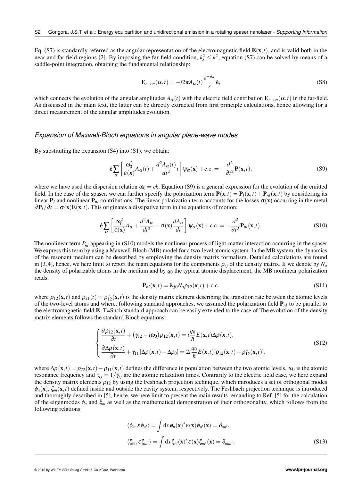Eq. (S7) is standardly referred as the angular representation of the electromagnetic field  $E(x,t)$ , and is valid both in the near and far field regions [2]. By imposing the far-field condition,  $k_x^2 \le k^2$ , equation (S7) can be solved by means of a saddle-point integration, obtaining the fundamental relationship:

$$
\mathbf{E}_{r \to \infty}(\alpha, t) = -i2\pi A_{\alpha}(t) \frac{e^{-ikr}}{r} \hat{\mathbf{e}},
$$
\n(S8)

which connects the evolution of the angular amplitudes  $A_{\alpha}(t)$  with the electric field contribution  $\mathbf{E}_{r\to\infty}(\alpha,t)$  in the far-field. As discussed in the main text, the latter can be directly extracted from first principle calculations, hence allowing for a direct measurement of the angular amplitudes evolution.

#### *Expansion of Maxwell-Bloch equations in angular plane-wave modes*

By substituting the expansion  $(S4)$  into  $(S1)$ , we obtain:

$$
\hat{\mathbf{e}} \sum_{\alpha} \left[ \frac{\omega_0^2}{\varepsilon(\mathbf{x})} A_{\alpha}(t) + \frac{d^2 A_{\alpha}(t)}{dt^2} t \right] \psi_{\alpha}(\mathbf{x}) + \text{c.c.} = -\frac{\partial^2}{\partial t^2} \mathbf{P}(\mathbf{x}, t), \tag{S9}
$$

where we have used the dispersion relation  $\omega_0 = ck$ . Equation (S9) is a general expression for the evolution of the emitted field. In the case of the spaser, we can further specify the polarization term  $P(x,t) = P_l(x,t) + P_{nl}(x,t)$  by considering its linear  $P_l$  and nonlinear  $P_{nl}$  contributions. The linear polarization term accounts for the losses  $\sigma(\mathbf{x})$  occurring in the metal  $\partial \mathbf{P}_l/\partial t = \sigma(\mathbf{x})\mathbf{E}(\mathbf{x},t)$ . This originates a dissipative term in the equations of motion:

$$
\hat{\mathbf{e}} \sum_{\alpha} \left[ \frac{\omega_0^2}{\varepsilon(\mathbf{x})} A_{\alpha} + \frac{d^2 A_{\alpha}}{dt^2} + \sigma(\mathbf{x}) \frac{d A_{\alpha}}{dt} \right] \psi_{\alpha}(\mathbf{x}) + \text{c.c.} = -\frac{\partial^2}{\partial t^2} \mathbf{P}_{nl}(\mathbf{x}, t). \tag{S10}
$$

The nonlinear term  $P_{nl}$  appearing in (S10) models the nonlinear process of light-matter interaction occurring in the spaser. We express this term by using a Maxwell-Bloch (MB) model for a two-level atomic system. In the MB system, the dynamics of the resonant medium can be described by employing the density matrix formalism. Detailed calculations are found in [3, 4], hence, we here limit to report the main equations for the components  $\rho_{ij}$  of the density matrix. If we denote by  $N_a$ the density of polarizable atoms in the medium and by  $q_0$  the typical atomic displacement, the MB nonlinear polarization reads:

$$
\mathbf{P}_{nl}(\mathbf{x},t) = \hat{\mathbf{e}}q_0 N_a \rho_{12}(\mathbf{x},t) + \text{c.c.}
$$
 (S11)

where  $\rho_{12}(\mathbf{x},t)$  and  $\rho_{21}(t) = \rho_{12}^*(\mathbf{x},t)$  is the density matrix element describing the transition rate between the atomic levels of the two-level atoms and where, following standard approaches, we assumed the polarization field P*nl* to be parallel to the electromagnetic field E. T=Such standard approach can be easily extended to the case of The evolution of the density matrix elements follows the standard Bloch equations:

$$
\begin{cases}\n\frac{\partial \rho_{12}(\mathbf{x},t)}{\partial t} + (\gamma_{12} - i\omega_0) \rho_{12}(\mathbf{x},t) = i \frac{q_0}{\hbar} E(\mathbf{x},t) \Delta \rho(\mathbf{x},t), \\
\frac{\partial \Delta \rho(\mathbf{x},t)}{\partial t} + \gamma_{11} [\Delta \rho(\mathbf{x},t) - \Delta \rho_0] = 2i \frac{q_0}{\hbar} E(\mathbf{x},t) [\rho_{12}(\mathbf{x},t) - \rho_{12}^*(\mathbf{x},t)],\n\end{cases} (S12)
$$

where  $\Delta \rho(\mathbf{x},t) = \rho_{22}(\mathbf{x},t) - \rho_{11}(\mathbf{x},t)$  defines the difference in population between the two atomic levels,  $\omega_0$  is the atomic resonance frequency and  $\tau_{ij} = 1/\gamma_{ij}$  are the atomic relaxation times. Contrarily to the electric field case, we here expand the density matrix elements  $\rho_{12}$  by using the Feshbach projection technique, which introduces a set of orthogonal modes  $\phi_n(\mathbf{x})$ ,  $\xi_m(\mathbf{x},t)$  defined inside and outside the cavity system, respectively. The Feshbach projection technique is introduced and thoroughly described in [5], hence, we here limit to present the main results remanding to Ref. [5] for the calculation of the eigenmodes  $\phi_n$  and  $\xi_m$  as well as the mathematical demonstration of their orthogonality, which follows from the following relations:

$$
\langle \phi_n, \varepsilon \phi_{n'} \rangle = \int dx \, \phi_n(\mathbf{x})^* \varepsilon(\mathbf{x}) \phi_{n'}(\mathbf{x}) = \delta_{nn'},
$$
  

$$
\langle \xi_m, \varepsilon \xi_{m'} \rangle = \int dx \, \xi_m(\mathbf{x})^* \varepsilon(\mathbf{x}) \xi_{m'}(\mathbf{x}) = \delta_{mm'},
$$
 (S13)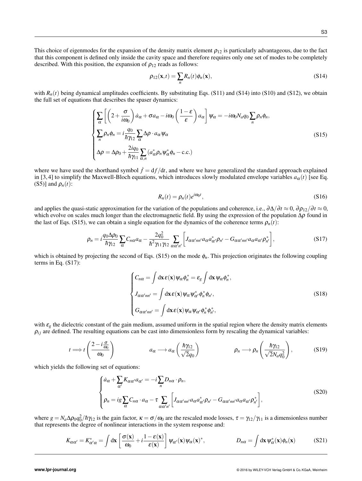This choice of eigenmodes for the expansion of the density matrix element  $\rho_{12}$  is particularly advantageous, due to the fact that this component is defined only inside the cavity space and therefore requires only one set of modes to be completely described. With this position, the expansion of  $\rho_{12}$  reads as follows:

$$
\rho_{12}(\mathbf{x},t) = \sum_{n} R_n(t)\phi_n(\mathbf{x}),\tag{S14}
$$

with  $R_n(t)$  being dynamical amplitudes coefficients. By substituting Eqs. (S11) and (S14) into (S10) and (S12), we obtain the full set of equations that describes the spaser dynamics:

$$
\begin{cases}\n\sum_{\alpha} \left[ \left( 2 + \frac{\sigma}{i\omega_0} \right) \dot{a}_{\alpha} + \sigma a_{\alpha} - i\omega_0 \left( \frac{1 - \varepsilon}{\varepsilon} \right) a_{\alpha} \right] \psi_{\alpha} = -i\omega_0 N_a q_0 \sum_n \rho_n \phi_n, \\
\sum_n \rho_n \phi_n = i \frac{q_0}{\hbar \gamma_{12}} \sum_{\alpha} \Delta \rho \cdot a_{\alpha} \psi_{\alpha} \\
\Delta \rho = \Delta \rho_0 + \frac{2iq_0}{\hbar \gamma_{11}} \sum_{\alpha, n} (a_{\alpha}^* \rho_n \psi_{\alpha}^* \phi_n - \text{c.c.})\n\end{cases} \tag{S15}
$$

where we have used the shorthand symbol  $\dot{f} = df/dt$ , and where we have generalized the standard approach explained in [3, 4] to simplify the Maxwell-Bloch equations, which introduces slowly modulated envelope variables  $a_{\alpha}(t)$  [see Eq. (S5)] and  $\rho_n(t)$ :

$$
R_n(t) = \rho_n(t)e^{i\omega_0 t},\tag{S16}
$$

and applies the quasi-static approximation for the variation of the populations and coherence, i.e.,  $\frac{\partial \Delta}{\partial t} \approx 0$ ,  $\frac{\partial \rho_{12}}{\partial t} \approx 0$ , which evolve on scales much longer than the electromagnetic field. By using the expression of the population  $\Delta \rho$  found in the last of Eqs. (S15), we can obtain a single equation for the dynamics of the coherence terms  $\rho_n(t)$ :

$$
\rho_n = i \frac{q_0 \Delta \rho_0}{\hbar \gamma_{12}} \sum_{\alpha} C_{n\alpha} a_{\alpha} - \frac{2q_0^2}{\hbar^2 \gamma_{11} \gamma_{12}} \sum_{\alpha \alpha' n'} \left[ J_{\alpha \alpha' n n'} a_{\alpha} a_{\alpha'}^* \rho_{n'} - G_{\alpha \alpha' n n'} a_{\alpha} a_{\alpha'} \rho_{n'}^* \right],
$$
\n(S17)

which is obtained by projecting the second of Eqs. (S15) on the mode φ*n*. This projection originates the following coupling terms in Eq. (S17):

$$
\begin{cases}\nC_{n\alpha} = \int \mathrm{d}\mathbf{x} \,\boldsymbol{\varepsilon}(\mathbf{x}) \,\psi_{\alpha} \,\phi_{n}^{*} = \varepsilon_{g} \int \mathrm{d}\mathbf{x} \,\psi_{\alpha} \,\phi_{n}^{*}, \\
J_{\alpha\alpha'nn'} = \int \mathrm{d}\mathbf{x} \,\boldsymbol{\varepsilon}(\mathbf{x}) \,\psi_{\alpha} \,\psi_{\alpha'}^{*} \,\phi_{n}^{*} \,\phi_{n'}, \\
G_{\alpha\alpha'nn'} = \int \mathrm{d}\mathbf{x} \,\boldsymbol{\varepsilon}(\mathbf{x}) \,\psi_{\alpha} \,\psi_{\alpha'} \,\phi_{n}^{*} \,\phi_{n'}^{*},\n\end{cases} \tag{S18}
$$

with  $\varepsilon_g$  the dielectric constant of the gain medium, assumed uniform in the spatial region where the density matrix elements  $\rho_{ij}$  are defined. The resulting equations can be cast into dimensionless form by rescaling the dynamical variables:

$$
t \Longrightarrow t\left(\frac{2-i\frac{\sigma}{\omega_0}}{\omega_0}\right) \qquad a_{\alpha} \longrightarrow a_{\alpha}\left(\frac{\hbar\gamma_{12}}{\sqrt{2}q_0}\right) \qquad \rho_n \longrightarrow \rho_n\left(\frac{\hbar\gamma_{12}}{\sqrt{2}N_aq_0^2}\right), \qquad (S19)
$$

which yields the following set of equations:

$$
\begin{cases}\n\dot{a}_{\alpha} + \sum_{\alpha'} K_{\alpha\alpha'} a_{\alpha'} = -i \sum_{n} D_{n\alpha} \cdot \rho_n, \\
\rho_n = i g \sum_{\alpha} C_{n\alpha} \cdot a_{\alpha} - \tau \sum_{\alpha\alpha' n'} \left[ J_{\alpha\alpha' n n'} a_{\alpha} a_{\alpha'}^* \rho_{n'} - G_{\alpha\alpha' n n'} a_{\alpha} a_{\alpha'} \rho_{n'}^* \right],\n\end{cases} \tag{S20}
$$

where  $g = N_a \Delta \rho_0 q_0^2 / \hbar \gamma_1$  is the gain factor,  $\kappa = \sigma / \omega_0$  are the rescaled mode losses,  $\tau = \gamma_{12} / \gamma_{11}$  is a dimensionless number that represents the degree of nonlinear interactions in the system response and:

$$
K_{\alpha\alpha'} = K_{\alpha'\alpha}^* = \int d\mathbf{x} \left[ \frac{\sigma(\mathbf{x})}{\omega_0} + i \frac{1 - \varepsilon(\mathbf{x})}{\varepsilon(\mathbf{x})} \right] \psi_{\alpha'}(\mathbf{x}) \psi_{\alpha}(\mathbf{x})^*, \qquad D_{n\alpha} = \int d\mathbf{x} \, \psi_{\alpha}^*(\mathbf{x}) \phi_n(\mathbf{x}) \qquad (S21)
$$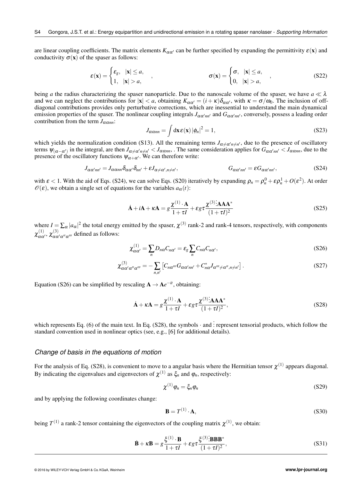are linear coupling coefficients. The matrix elements  $K_{\alpha\alpha'}$  can be further specified by expanding the permittivity  $\varepsilon(\mathbf{x})$  and conductivity  $\sigma(\mathbf{x})$  of the spaser as follows:

$$
\varepsilon(\mathbf{x}) = \begin{cases} \varepsilon_g, & |\mathbf{x}| \le a, \\ 1, & |\mathbf{x}| > a, \end{cases}, \qquad \sigma(\mathbf{x}) = \begin{cases} \sigma, & |\mathbf{x}| \le a, \\ 0, & |\mathbf{x}| > a, \end{cases}, \qquad (S22)
$$

being *a* the radius characterizing the spaser nanoparticle. Due to the nanoscale volume of the spaser, we have  $a \ll \lambda$ and we can neglect the contributions for  $|x| < a$ , obtaining  $K_{\alpha\alpha'} = (i + \kappa)\delta_{\alpha\alpha'}$ , with  $\kappa = \sigma/\omega_0$ . The inclusion of offdiagonal contributions provides only perturbative corrections, which are inessential to understand the main dynamical emission properties of the spaser. The nonlinear coupling integrals  $J_{\alpha\alpha'm'}$  and  $G_{\alpha\alpha'm'}$ , conversely, possess a leading order contribution from the term  $J_{\alpha\alpha nn}$ :

$$
J_{\alpha\alpha nn} = \int \mathrm{d}\mathbf{x} \,\mathbf{\varepsilon}(\mathbf{x}) \, |\phi_n|^2 = 1,\tag{S23}
$$

which yields the normalization condition (S13). All the remaining terms  $J_{\alpha\neq\alpha'n\neq n'}$ , due to the presence of oscillatory terms  $\psi_{(\alpha-\alpha')}$  in the integral, are then  $J_{\alpha\neq\alpha'n\neq n'}$  <  $J_{\alpha\alpha nn}$ . The same consideration applies for  $G_{\alpha\alpha'nn'}$  <  $J_{\alpha\alpha nn}$ , due to the presence of the oscillatory functions  $\psi_{\alpha+\alpha'}$ . We can therefore write:

$$
J_{\alpha\alpha'nn'} = J_{\alpha\alpha nn}\delta_{\alpha\alpha'}\delta_{nn'} + \varepsilon J_{\alpha\neq\alpha',n\neq n'}, \qquad G_{\alpha\alpha'nn'} = \varepsilon G_{\alpha\alpha'nn'}, \qquad (S24)
$$

with  $\varepsilon < 1$ . With the aid of Eqs. (S24), we can solve Eqs. (S20) iteratively by expanding  $\rho_n = \rho_n^0 + \varepsilon \rho_n^1 + O(\varepsilon^2)$ . At order  $\mathcal{O}(\varepsilon)$ , we obtain a single set of equations for the variables  $a_{\alpha}(t)$ :

$$
\dot{\mathbf{A}} + i\mathbf{A} + \kappa \mathbf{A} = g \frac{\chi^{(1)} \cdot \mathbf{A}}{1 + \tau I} + \varepsilon g \tau \frac{\chi^{(3)} \cdot \mathbf{A} \mathbf{A} \mathbf{A}^*}{(1 + \tau I)^2}
$$
(S25)

where  $I = \sum_{\alpha} |a_{\alpha}|^2$  the total energy emitted by the spaser,  $\chi^{(3)}$  rank-2 and rank-4 tensors, respectively, with components  $\chi^{(1)}_{\alpha\alpha'}$ ,  $\chi^{(3)}_{\alpha\alpha'\alpha''\alpha'''}$  defined as follows:

$$
\chi_{\alpha\alpha'}^{(1)} = \sum_{n} D_{n\alpha} C_{n\alpha'} = \varepsilon_g \sum_{n} C_{n\alpha} C_{n\alpha'},
$$
\n(S26)

$$
\chi^{(3)}_{\alpha\alpha'\alpha'''\alpha'''} = -\sum_{n,n'} \left[ C_{n\alpha'''} G_{\alpha\alpha'm'} + C_{n\alpha}^* J_{\alpha'''\neq \alpha'', n\neq n'} \right]. \tag{S27}
$$

Equation (S26) can be simplified by rescaling  $A \rightarrow Ae^{-it}$ , obtaining:

$$
\dot{\mathbf{A}} + \kappa \mathbf{A} = g \frac{\chi^{(1)} \cdot \mathbf{A}}{1 + \tau I} + \varepsilon g \tau \frac{\chi^{(3)} \cdot \mathbf{A} \mathbf{A} \mathbf{A}^*}{(1 + \tau I)^2},
$$
\n(S28)

which represents Eq. (6) of the main text. In Eq. (S28), the symbols  $\cdot$  and : represent tensorial products, which follow the standard convention used in nonlinear optics (see, e.g., [6] for additional details).

#### *Change of basis in the equations of motion*

For the analysis of Eq. (S28), is convenient to move to a angular basis where the Hermitian tensor  $\chi^{(1)}$  appears diagonal. By indicating the eigenvalues and eigenvectors of  $\chi^{(1)}$  as  $\xi_n$  and  $\varphi_n$ , respectively:

$$
\chi^{(1)}\varphi_n = \xi_n \varphi_n \tag{S29}
$$

and by applying the following coordinates change:

$$
\mathbf{B} = T^{(1)} \cdot \mathbf{A},\tag{S30}
$$

being  $T^{(1)}$  a rank-2 tensor containing the eigenvectors of the coupling matrix  $\chi^{(1)}$ , we obtain:

$$
\dot{\mathbf{B}} + \kappa \mathbf{B} = g \frac{\xi^{(1)} \cdot \mathbf{B}}{1 + \tau I} + \varepsilon g \tau \frac{\xi^{(3)} \mathbf{B} \mathbf{B} \mathbf{B}^*}{(1 + \tau I)^2},
$$
\n(S31)